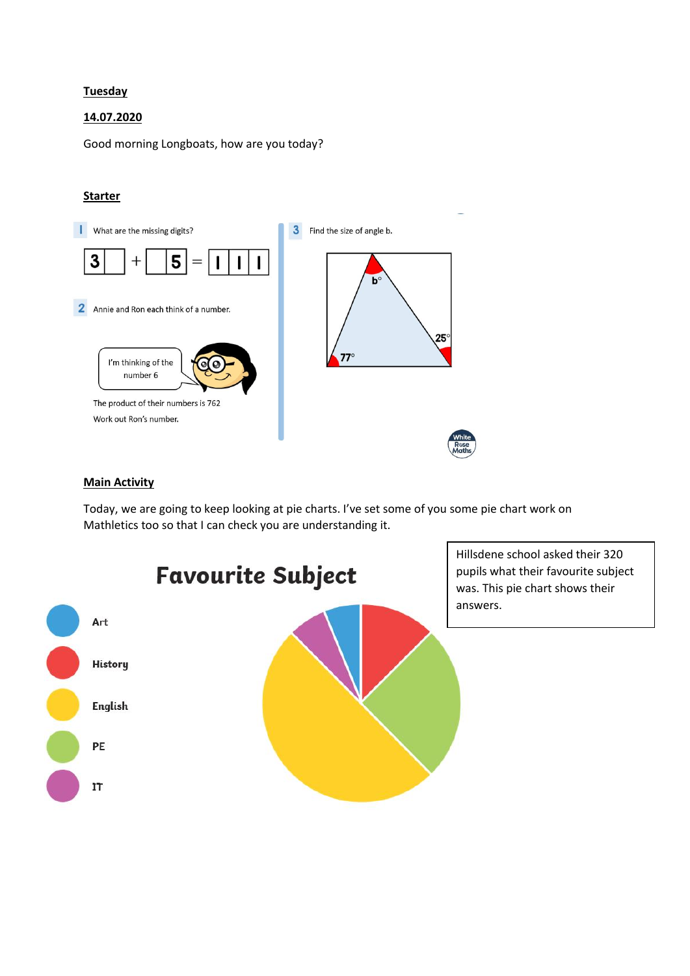## **Tuesday**

## 14.07.2020

Good morning Longboats, how are you today?

## **Starter**



## **Main Activity**

Today, we are going to keep looking at pie charts. I've set some of you some pie chart work on Mathletics too so that I can check you are understanding it.



Hillsdene school asked their 320 pupils what their favourite subject was. This pie chart shows their